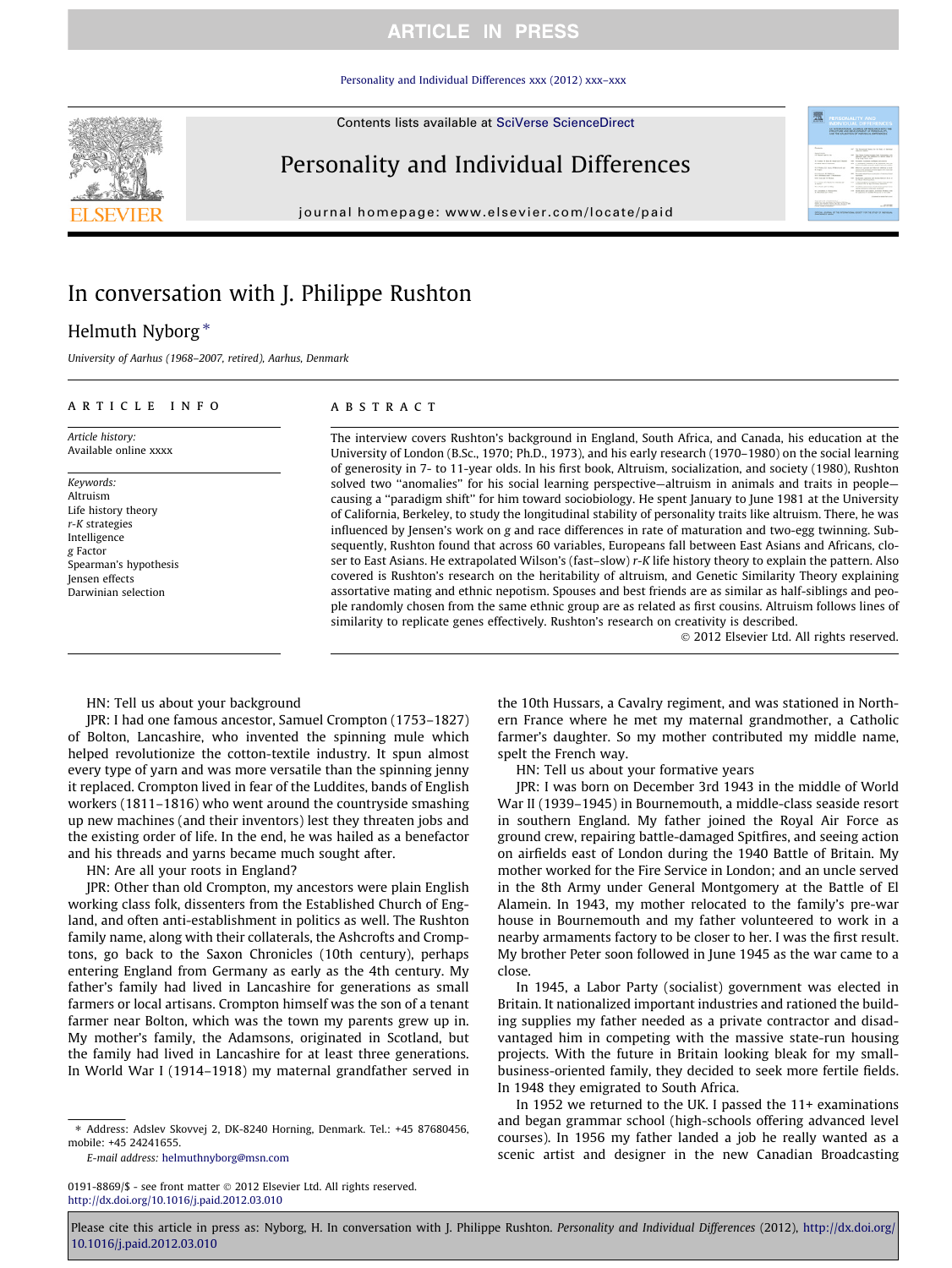## **ARTICLE IN PRESS**

[Personality and Individual Differences xxx \(2012\) xxx–xxx](http://dx.doi.org/10.1016/j.paid.2012.03.010)

Contents lists available at [SciVerse ScienceDirect](http://www.sciencedirect.com/science/journal/01918869)



# Personality and Individual Differences

journal homepage: [www.elsevier.com/locate/paid](http://www.elsevier.com/locate/paid)

|                                                                   |        | PERSONALITY AND<br><b>INDIVIDUAL DIFFERENCES</b><br>AN INTERNATIONAL JOURNAL OF RESEARCH AFO THE<br>ATRUSTED AND SEVELOPERAT OF PERSONALITY. |
|-------------------------------------------------------------------|--------|----------------------------------------------------------------------------------------------------------------------------------------------|
| <b>Systems</b>                                                    | $\sim$ | AND THE CALIBATION OF INDIVIDUAL COPPERATIONS<br>The Associated Autos for the Rolls of Automo-                                               |
| <b>Service State</b><br>of them I set the fact                    |        | and the characteristic bonds had determine out-<br>sence we as onces as her size of<br><b>Highest Print</b> and                              |
| A finalism M. Born & House<br>It must as 14 concern               | $\sim$ | the founds homes schem of coors-<br>A scalario consta e la bolesta en co-<br>to a child company of state them.                               |
| this Mount & Chevrolet Mon-<br>---<br>a barre                     | $\sim$ | Monthal council and interested rational as their<br>serve at the secondary business service the countries<br>model show a with-              |
| <b>Side Moneys</b> , A.D. McArrow<br>are depositors are i.e. from |        | All Book McGreen is access of automobile<br><b>CONTRACTOR</b>                                                                                |
| trate-from out 2.1 Sections<br>Fo hom & k Mark In the<br>--       | $\sim$ | <b>Rollingh, Allinga, All Monte Moral &amp; All A</b><br>A Cherry Mill Service                                                               |
| A Monte<br>And should work the beau-                              |        | the antiques and a personal distance that the<br><b>AT A colored and experiences</b>                                                         |
| and determined to advertisement<br>a bland of the                 |        | store departure with the modern<br>and these most and comes measured business and<br>the production of a decided through that the product    |
|                                                                   |        | <b>President of stand but went</b>                                                                                                           |
| BELIZENDARY-<br><b>CONTRACTOR</b>                                 |        | $-27.77$                                                                                                                                     |

# In conversation with J. Philippe Rushton

### Helmuth Nyborg<sup>\*</sup>

University of Aarhus (1968–2007, retired), Aarhus, Denmark

### article info

Article history: Available online xxxx

Keywords: Altruism Life history theory r-K strategies Intelligence g Factor Spearman's hypothesis Jensen effects Darwinian selection

### ABSTRACT

The interview covers Rushton's background in England, South Africa, and Canada, his education at the University of London (B.Sc., 1970; Ph.D., 1973), and his early research (1970–1980) on the social learning of generosity in 7- to 11-year olds. In his first book, Altruism, socialization, and society (1980), Rushton solved two ''anomalies'' for his social learning perspective—altruism in animals and traits in people causing a ''paradigm shift'' for him toward sociobiology. He spent January to June 1981 at the University of California, Berkeley, to study the longitudinal stability of personality traits like altruism. There, he was influenced by Jensen's work on g and race differences in rate of maturation and two-egg twinning. Subsequently, Rushton found that across 60 variables, Europeans fall between East Asians and Africans, closer to East Asians. He extrapolated Wilson's (fast–slow) r-K life history theory to explain the pattern. Also covered is Rushton's research on the heritability of altruism, and Genetic Similarity Theory explaining assortative mating and ethnic nepotism. Spouses and best friends are as similar as half-siblings and people randomly chosen from the same ethnic group are as related as first cousins. Altruism follows lines of similarity to replicate genes effectively. Rushton's research on creativity is described.

- 2012 Elsevier Ltd. All rights reserved.

### HN: Tell us about your background

JPR: I had one famous ancestor, Samuel Crompton (1753–1827) of Bolton, Lancashire, who invented the spinning mule which helped revolutionize the cotton-textile industry. It spun almost every type of yarn and was more versatile than the spinning jenny it replaced. Crompton lived in fear of the Luddites, bands of English workers (1811–1816) who went around the countryside smashing up new machines (and their inventors) lest they threaten jobs and the existing order of life. In the end, he was hailed as a benefactor and his threads and yarns became much sought after.

HN: Are all your roots in England?

JPR: Other than old Crompton, my ancestors were plain English working class folk, dissenters from the Established Church of England, and often anti-establishment in politics as well. The Rushton family name, along with their collaterals, the Ashcrofts and Cromptons, go back to the Saxon Chronicles (10th century), perhaps entering England from Germany as early as the 4th century. My father's family had lived in Lancashire for generations as small farmers or local artisans. Crompton himself was the son of a tenant farmer near Bolton, which was the town my parents grew up in. My mother's family, the Adamsons, originated in Scotland, but the family had lived in Lancashire for at least three generations. In World War I (1914–1918) my maternal grandfather served in

E-mail address: [helmuthnyborg@msn.com](mailto:helmuthnyborg@msn.com)

the 10th Hussars, a Cavalry regiment, and was stationed in Northern France where he met my maternal grandmother, a Catholic farmer's daughter. So my mother contributed my middle name, spelt the French way.

HN: Tell us about your formative years

JPR: I was born on December 3rd 1943 in the middle of World War II (1939–1945) in Bournemouth, a middle-class seaside resort in southern England. My father joined the Royal Air Force as ground crew, repairing battle-damaged Spitfires, and seeing action on airfields east of London during the 1940 Battle of Britain. My mother worked for the Fire Service in London; and an uncle served in the 8th Army under General Montgomery at the Battle of El Alamein. In 1943, my mother relocated to the family's pre-war house in Bournemouth and my father volunteered to work in a nearby armaments factory to be closer to her. I was the first result. My brother Peter soon followed in June 1945 as the war came to a close.

In 1945, a Labor Party (socialist) government was elected in Britain. It nationalized important industries and rationed the building supplies my father needed as a private contractor and disadvantaged him in competing with the massive state-run housing projects. With the future in Britain looking bleak for my smallbusiness-oriented family, they decided to seek more fertile fields. In 1948 they emigrated to South Africa.

In 1952 we returned to the UK. I passed the 11+ examinations and began grammar school (high-schools offering advanced level courses). In 1956 my father landed a job he really wanted as a scenic artist and designer in the new Canadian Broadcasting

<sup>⇑</sup> Address: Adslev Skovvej 2, DK-8240 Horning, Denmark. Tel.: +45 87680456, mobile: +45 24241655.

<sup>0191-8869/\$ -</sup> see front matter © 2012 Elsevier Ltd. All rights reserved. <http://dx.doi.org/10.1016/j.paid.2012.03.010>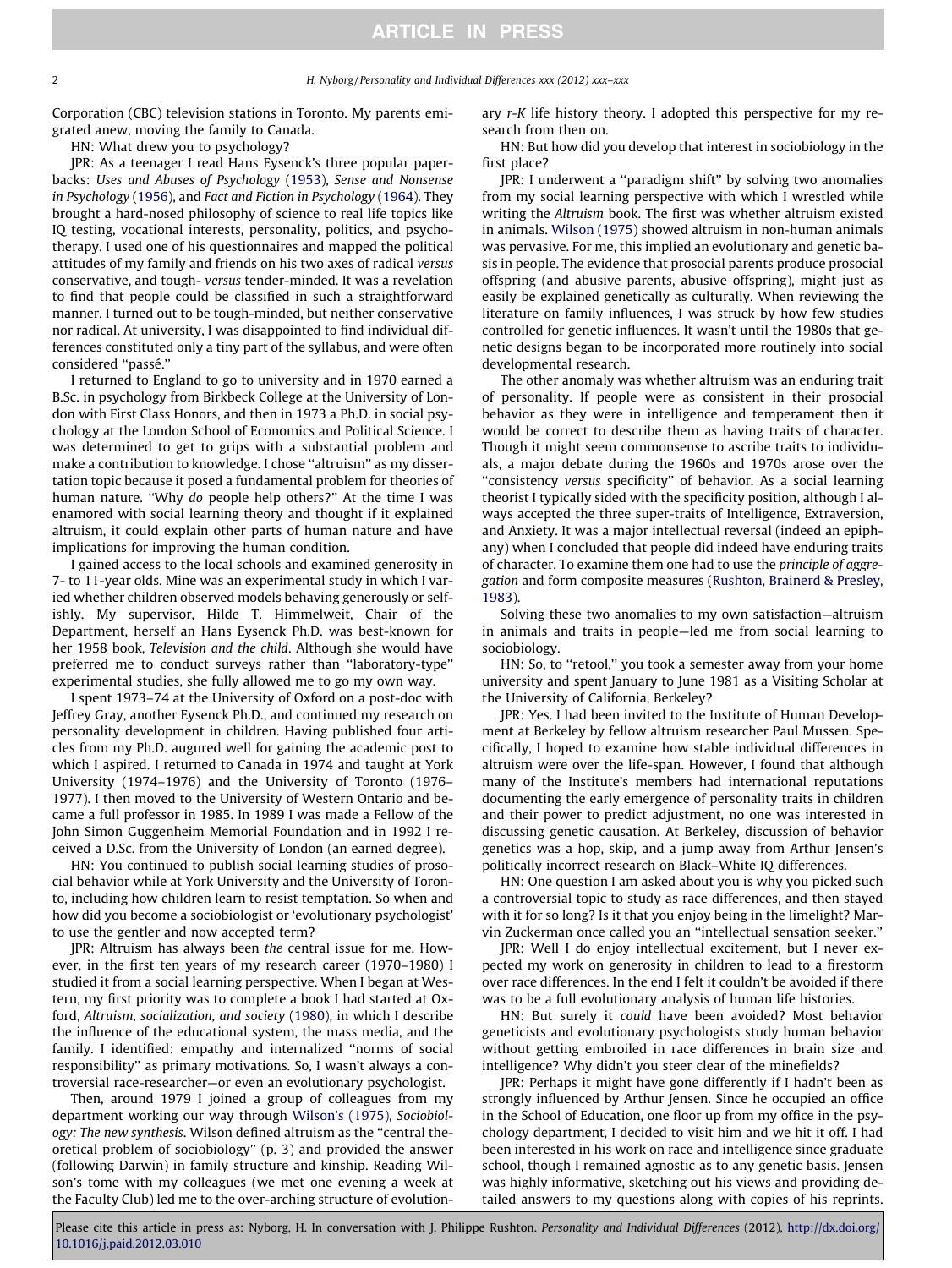Corporation (CBC) television stations in Toronto. My parents emigrated anew, moving the family to Canada.

HN: What drew you to psychology?

JPR: As a teenager I read Hans Eysenck's three popular paperbacks: Uses and Abuses of Psychology ([1953\)](#page-5-0), Sense and Nonsense in Psychology [\(1956](#page-5-0)), and Fact and Fiction in Psychology ([1964\)](#page-5-0). They brought a hard-nosed philosophy of science to real life topics like IQ testing, vocational interests, personality, politics, and psychotherapy. I used one of his questionnaires and mapped the political attitudes of my family and friends on his two axes of radical versus conservative, and tough- versus tender-minded. It was a revelation to find that people could be classified in such a straightforward manner. I turned out to be tough-minded, but neither conservative nor radical. At university, I was disappointed to find individual differences constituted only a tiny part of the syllabus, and were often considered ''passé.''

I returned to England to go to university and in 1970 earned a B.Sc. in psychology from Birkbeck College at the University of London with First Class Honors, and then in 1973 a Ph.D. in social psychology at the London School of Economics and Political Science. I was determined to get to grips with a substantial problem and make a contribution to knowledge. I chose ''altruism'' as my dissertation topic because it posed a fundamental problem for theories of human nature. "Why do people help others?" At the time I was enamored with social learning theory and thought if it explained altruism, it could explain other parts of human nature and have implications for improving the human condition.

I gained access to the local schools and examined generosity in 7- to 11-year olds. Mine was an experimental study in which I varied whether children observed models behaving generously or selfishly. My supervisor, Hilde T. Himmelweit, Chair of the Department, herself an Hans Eysenck Ph.D. was best-known for her 1958 book, Television and the child. Although she would have preferred me to conduct surveys rather than ''laboratory-type'' experimental studies, she fully allowed me to go my own way.

I spent 1973–74 at the University of Oxford on a post-doc with Jeffrey Gray, another Eysenck Ph.D., and continued my research on personality development in children. Having published four articles from my Ph.D. augured well for gaining the academic post to which I aspired. I returned to Canada in 1974 and taught at York University (1974–1976) and the University of Toronto (1976– 1977). I then moved to the University of Western Ontario and became a full professor in 1985. In 1989 I was made a Fellow of the John Simon Guggenheim Memorial Foundation and in 1992 I received a D.Sc. from the University of London (an earned degree).

HN: You continued to publish social learning studies of prosocial behavior while at York University and the University of Toronto, including how children learn to resist temptation. So when and how did you become a sociobiologist or 'evolutionary psychologist' to use the gentler and now accepted term?

JPR: Altruism has always been the central issue for me. However, in the first ten years of my research career (1970–1980) I studied it from a social learning perspective. When I began at Western, my first priority was to complete a book I had started at Oxford, Altruism, socialization, and society [\(1980](#page-5-0)), in which I describe the influence of the educational system, the mass media, and the family. I identified: empathy and internalized ''norms of social responsibility'' as primary motivations. So, I wasn't always a controversial race-researcher—or even an evolutionary psychologist.

Then, around 1979 I joined a group of colleagues from my department working our way through [Wilson's \(1975\)](#page-6-0), Sociobiology: The new synthesis. Wilson defined altruism as the ''central theoretical problem of sociobiology'' (p. 3) and provided the answer (following Darwin) in family structure and kinship. Reading Wilson's tome with my colleagues (we met one evening a week at the Faculty Club) led me to the over-arching structure of evolutionary r-K life history theory. I adopted this perspective for my research from then on.

HN: But how did you develop that interest in sociobiology in the first place?

JPR: I underwent a ''paradigm shift'' by solving two anomalies from my social learning perspective with which I wrestled while writing the Altruism book. The first was whether altruism existed in animals. [Wilson \(1975\)](#page-6-0) showed altruism in non-human animals was pervasive. For me, this implied an evolutionary and genetic basis in people. The evidence that prosocial parents produce prosocial offspring (and abusive parents, abusive offspring), might just as easily be explained genetically as culturally. When reviewing the literature on family influences, I was struck by how few studies controlled for genetic influences. It wasn't until the 1980s that genetic designs began to be incorporated more routinely into social developmental research.

The other anomaly was whether altruism was an enduring trait of personality. If people were as consistent in their prosocial behavior as they were in intelligence and temperament then it would be correct to describe them as having traits of character. Though it might seem commonsense to ascribe traits to individuals, a major debate during the 1960s and 1970s arose over the ''consistency versus specificity'' of behavior. As a social learning theorist I typically sided with the specificity position, although I always accepted the three super-traits of Intelligence, Extraversion, and Anxiety. It was a major intellectual reversal (indeed an epiphany) when I concluded that people did indeed have enduring traits of character. To examine them one had to use the principle of aggregation and form composite measures ([Rushton, Brainerd & Presley,](#page-5-0) [1983\)](#page-5-0).

Solving these two anomalies to my own satisfaction—altruism in animals and traits in people—led me from social learning to sociobiology.

HN: So, to "retool," you took a semester away from your home university and spent January to June 1981 as a Visiting Scholar at the University of California, Berkeley?

JPR: Yes. I had been invited to the Institute of Human Development at Berkeley by fellow altruism researcher Paul Mussen. Specifically, I hoped to examine how stable individual differences in altruism were over the life-span. However, I found that although many of the Institute's members had international reputations documenting the early emergence of personality traits in children and their power to predict adjustment, no one was interested in discussing genetic causation. At Berkeley, discussion of behavior genetics was a hop, skip, and a jump away from Arthur Jensen's politically incorrect research on Black–White IQ differences.

HN: One question I am asked about you is why you picked such a controversial topic to study as race differences, and then stayed with it for so long? Is it that you enjoy being in the limelight? Marvin Zuckerman once called you an ''intellectual sensation seeker.''

JPR: Well I do enjoy intellectual excitement, but I never expected my work on generosity in children to lead to a firestorm over race differences. In the end I felt it couldn't be avoided if there was to be a full evolutionary analysis of human life histories.

HN: But surely it could have been avoided? Most behavior geneticists and evolutionary psychologists study human behavior without getting embroiled in race differences in brain size and intelligence? Why didn't you steer clear of the minefields?

JPR: Perhaps it might have gone differently if I hadn't been as strongly influenced by Arthur Jensen. Since he occupied an office in the School of Education, one floor up from my office in the psychology department, I decided to visit him and we hit it off. I had been interested in his work on race and intelligence since graduate school, though I remained agnostic as to any genetic basis. Jensen was highly informative, sketching out his views and providing detailed answers to my questions along with copies of his reprints.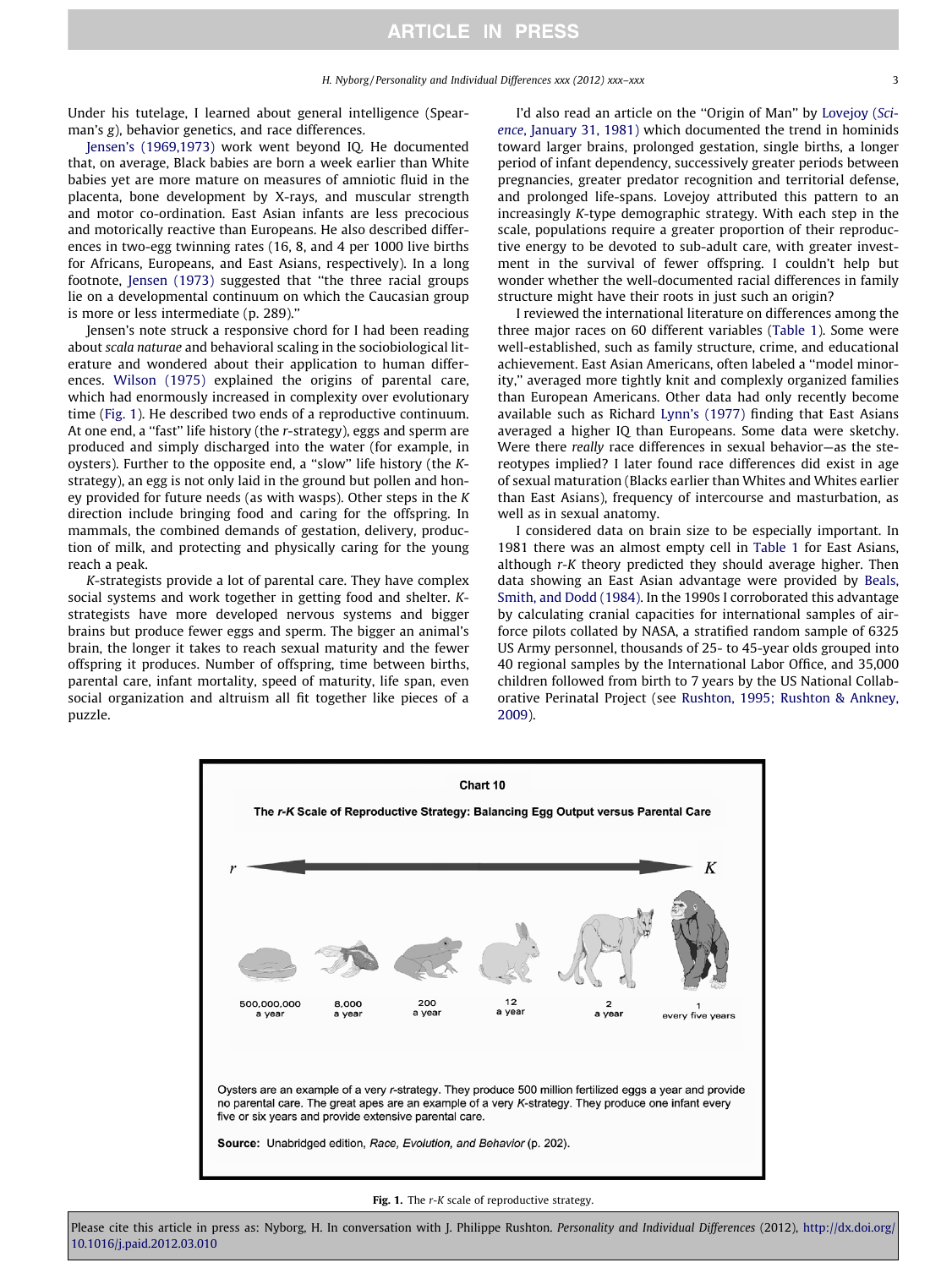Under his tutelage, I learned about general intelligence (Spearman's g), behavior genetics, and race differences.

[Jensen's \(1969,1973\)](#page-5-0) work went beyond IQ. He documented that, on average, Black babies are born a week earlier than White babies yet are more mature on measures of amniotic fluid in the placenta, bone development by X-rays, and muscular strength and motor co-ordination. East Asian infants are less precocious and motorically reactive than Europeans. He also described differences in two-egg twinning rates (16, 8, and 4 per 1000 live births for Africans, Europeans, and East Asians, respectively). In a long footnote, [Jensen \(1973\)](#page-5-0) suggested that ''the three racial groups lie on a developmental continuum on which the Caucasian group is more or less intermediate (p. 289).''

Jensen's note struck a responsive chord for I had been reading about scala naturae and behavioral scaling in the sociobiological literature and wondered about their application to human differences. [Wilson \(1975\)](#page-6-0) explained the origins of parental care, which had enormously increased in complexity over evolutionary time (Fig. 1). He described two ends of a reproductive continuum. At one end, a "fast" life history (the r-strategy), eggs and sperm are produced and simply discharged into the water (for example, in oysters). Further to the opposite end, a ''slow'' life history (the Kstrategy), an egg is not only laid in the ground but pollen and honey provided for future needs (as with wasps). Other steps in the K direction include bringing food and caring for the offspring. In mammals, the combined demands of gestation, delivery, production of milk, and protecting and physically caring for the young reach a peak.

K-strategists provide a lot of parental care. They have complex social systems and work together in getting food and shelter. Kstrategists have more developed nervous systems and bigger brains but produce fewer eggs and sperm. The bigger an animal's brain, the longer it takes to reach sexual maturity and the fewer offspring it produces. Number of offspring, time between births, parental care, infant mortality, speed of maturity, life span, even social organization and altruism all fit together like pieces of a puzzle.

I'd also read an article on the ''Origin of Man'' by [Lovejoy \(](#page-5-0)Science[, January 31, 1981\)](#page-5-0) which documented the trend in hominids toward larger brains, prolonged gestation, single births, a longer period of infant dependency, successively greater periods between pregnancies, greater predator recognition and territorial defense, and prolonged life-spans. Lovejoy attributed this pattern to an increasingly K-type demographic strategy. With each step in the scale, populations require a greater proportion of their reproductive energy to be devoted to sub-adult care, with greater investment in the survival of fewer offspring. I couldn't help but wonder whether the well-documented racial differences in family structure might have their roots in just such an origin?

I reviewed the international literature on differences among the three major races on 60 different variables ([Table 1\)](#page-3-0). Some were well-established, such as family structure, crime, and educational achievement. East Asian Americans, often labeled a ''model minority,'' averaged more tightly knit and complexly organized families than European Americans. Other data had only recently become available such as Richard [Lynn's \(1977\)](#page-5-0) finding that East Asians averaged a higher IQ than Europeans. Some data were sketchy. Were there really race differences in sexual behavior—as the stereotypes implied? I later found race differences did exist in age of sexual maturation (Blacks earlier than Whites and Whites earlier than East Asians), frequency of intercourse and masturbation, as well as in sexual anatomy.

I considered data on brain size to be especially important. In 1981 there was an almost empty cell in [Table 1](#page-3-0) for East Asians, although r-K theory predicted they should average higher. Then data showing an East Asian advantage were provided by [Beals,](#page-5-0) [Smith, and Dodd \(1984\).](#page-5-0) In the 1990s I corroborated this advantage by calculating cranial capacities for international samples of airforce pilots collated by NASA, a stratified random sample of 6325 US Army personnel, thousands of 25- to 45-year olds grouped into 40 regional samples by the International Labor Office, and 35,000 children followed from birth to 7 years by the US National Collaborative Perinatal Project (see [Rushton, 1995; Rushton & Ankney,](#page-5-0) [2009](#page-5-0)).

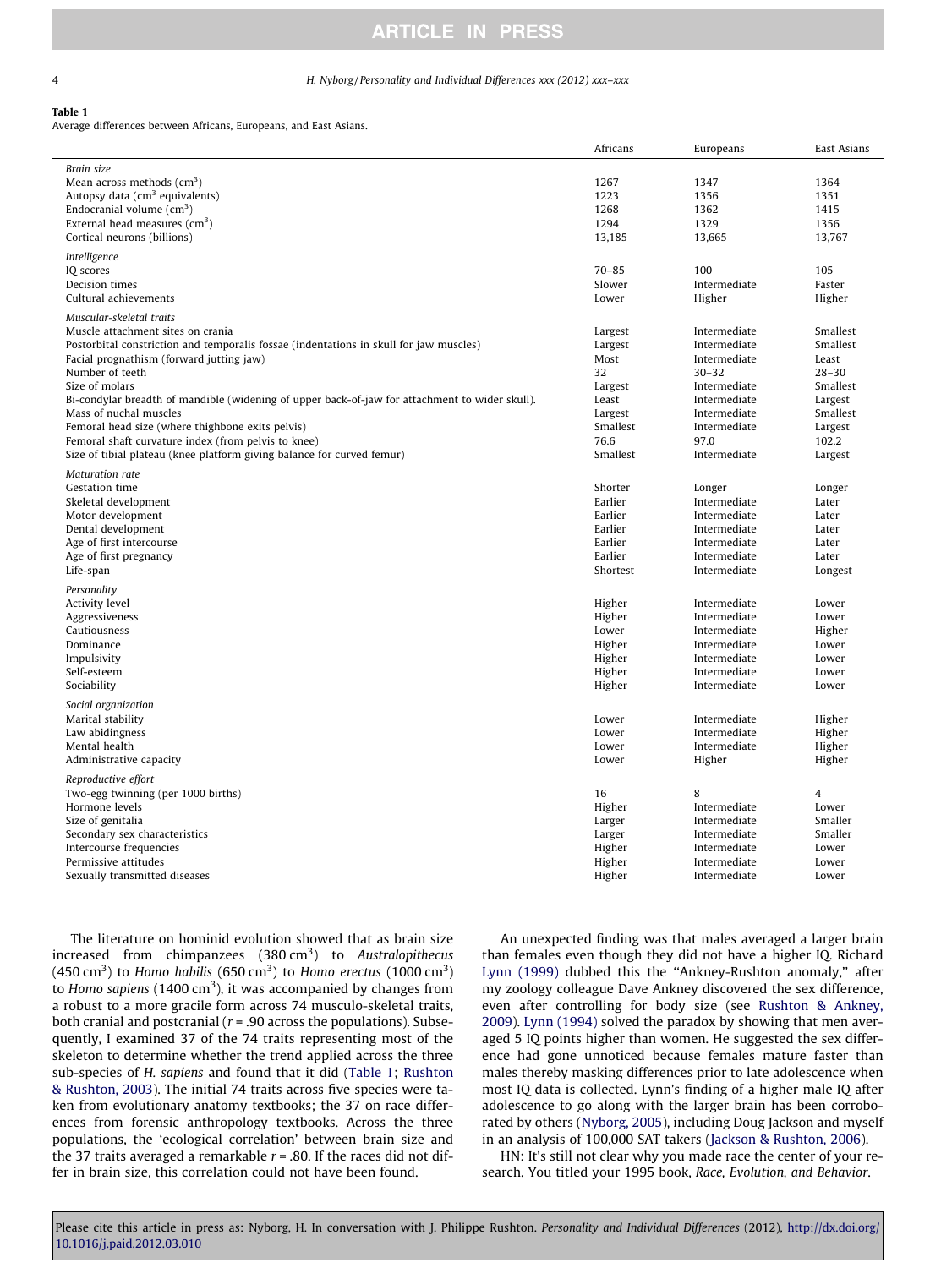## **ARTICLE IN PRESS**

### <span id="page-3-0"></span>4 H. Nyborg / Personality and Individual Differences xxx (2012) xxx–xxx

#### Table 1

Average differences between Africans, Europeans, and East Asians.

|                                                                                                | Africans  | Europeans    | East Asians    |
|------------------------------------------------------------------------------------------------|-----------|--------------|----------------|
| Brain size<br>Mean across methods $\text{cm}^3$ )                                              | 1267      | 1347         | 1364           |
| Autopsy data ( $cm3$ equivalents)                                                              | 1223      | 1356         | 1351           |
| Endocranial volume $\text{cm}^3$ )                                                             | 1268      | 1362         | 1415           |
| External head measures $\text{cm}^3$ )                                                         | 1294      | 1329         | 1356           |
| Cortical neurons (billions)                                                                    | 13.185    | 13,665       | 13.767         |
| Intelligence                                                                                   |           |              |                |
| IQ scores                                                                                      | $70 - 85$ | 100          | 105            |
| Decision times                                                                                 | Slower    | Intermediate | Faster         |
| Cultural achievements                                                                          | Lower     | Higher       | Higher         |
| Muscular-skeletal traits                                                                       |           |              |                |
| Muscle attachment sites on crania                                                              | Largest   | Intermediate | Smallest       |
| Postorbital constriction and temporalis fossae (indentations in skull for jaw muscles)         | Largest   | Intermediate | Smallest       |
| Facial prognathism (forward jutting jaw)                                                       | Most      | Intermediate | Least          |
| Number of teeth                                                                                | 32        | $30 - 32$    | $28 - 30$      |
| Size of molars                                                                                 | Largest   | Intermediate | Smallest       |
| Bi-condylar breadth of mandible (widening of upper back-of-jaw for attachment to wider skull). | Least     | Intermediate | Largest        |
| Mass of nuchal muscles                                                                         | Largest   | Intermediate | Smallest       |
| Femoral head size (where thighbone exits pelvis)                                               | Smallest  | Intermediate | Largest        |
| Femoral shaft curvature index (from pelvis to knee)                                            | 76.6      | 97.0         | 102.2          |
| Size of tibial plateau (knee platform giving balance for curved femur)                         | Smallest  | Intermediate | Largest        |
| Maturation rate                                                                                |           |              |                |
| Gestation time                                                                                 | Shorter   | Longer       | Longer         |
| Skeletal development                                                                           | Earlier   | Intermediate | Later          |
| Motor development                                                                              | Earlier   | Intermediate | Later          |
| Dental development                                                                             | Earlier   | Intermediate | Later          |
| Age of first intercourse                                                                       | Earlier   | Intermediate | Later          |
| Age of first pregnancy                                                                         | Earlier   | Intermediate | Later          |
| Life-span                                                                                      | Shortest  | Intermediate | Longest        |
| Personality                                                                                    |           |              |                |
| Activity level                                                                                 | Higher    | Intermediate | Lower          |
| Aggressiveness                                                                                 | Higher    | Intermediate | Lower          |
| Cautiousness                                                                                   | Lower     | Intermediate | Higher         |
| Dominance                                                                                      | Higher    | Intermediate | Lower          |
| Impulsivity                                                                                    | Higher    | Intermediate | Lower          |
| Self-esteem                                                                                    | Higher    | Intermediate | Lower          |
| Sociability                                                                                    | Higher    | Intermediate | Lower          |
| Social organization                                                                            |           |              |                |
| Marital stability                                                                              | Lower     | Intermediate | Higher         |
| Law abidingness                                                                                | Lower     | Intermediate | Higher         |
| Mental health                                                                                  | Lower     | Intermediate | Higher         |
| Administrative capacity                                                                        | Lower     | Higher       | Higher         |
| Reproductive effort                                                                            |           |              |                |
| Two-egg twinning (per 1000 births)                                                             | 16        | 8            | $\overline{4}$ |
| Hormone levels                                                                                 | Higher    | Intermediate | Lower          |
| Size of genitalia                                                                              | Larger    | Intermediate | Smaller        |
| Secondary sex characteristics                                                                  | Larger    | Intermediate | Smaller        |
| Intercourse frequencies                                                                        | Higher    | Intermediate | Lower          |
| Permissive attitudes                                                                           | Higher    | Intermediate | Lower          |
| Sexually transmitted diseases                                                                  | Higher    | Intermediate | Lower          |
|                                                                                                |           |              |                |

The literature on hominid evolution showed that as brain size increased from chimpanzees (380 cm<sup>3</sup>) to Australopithecus (450 cm<sup>3</sup>) to Homo habilis (650 cm<sup>3</sup>) to Homo erectus (1000 cm<sup>3</sup>) to Homo sapiens (1400 cm<sup>3</sup>), it was accompanied by changes from a robust to a more gracile form across 74 musculo-skeletal traits, both cranial and postcranial ( $r = .90$  across the populations). Subsequently, I examined 37 of the 74 traits representing most of the skeleton to determine whether the trend applied across the three sub-species of H. sapiens and found that it did (Table 1; [Rushton](#page-6-0) [& Rushton, 2003\)](#page-6-0). The initial 74 traits across five species were taken from evolutionary anatomy textbooks; the 37 on race differences from forensic anthropology textbooks. Across the three populations, the 'ecological correlation' between brain size and the 37 traits averaged a remarkable  $r = .80$ . If the races did not differ in brain size, this correlation could not have been found.

An unexpected finding was that males averaged a larger brain than females even though they did not have a higher IQ. Richard [Lynn \(1999\)](#page-5-0) dubbed this the ''Ankney-Rushton anomaly,'' after my zoology colleague Dave Ankney discovered the sex difference, even after controlling for body size (see [Rushton & Ankney,](#page-5-0) [2009\)](#page-5-0). [Lynn \(1994\)](#page-5-0) solved the paradox by showing that men averaged 5 IQ points higher than women. He suggested the sex difference had gone unnoticed because females mature faster than males thereby masking differences prior to late adolescence when most IQ data is collected. Lynn's finding of a higher male IQ after adolescence to go along with the larger brain has been corroborated by others ([Nyborg, 2005](#page-5-0)), including Doug Jackson and myself in an analysis of 100,000 SAT takers ([Jackson & Rushton, 2006\)](#page-5-0).

HN: It's still not clear why you made race the center of your research. You titled your 1995 book, Race, Evolution, and Behavior.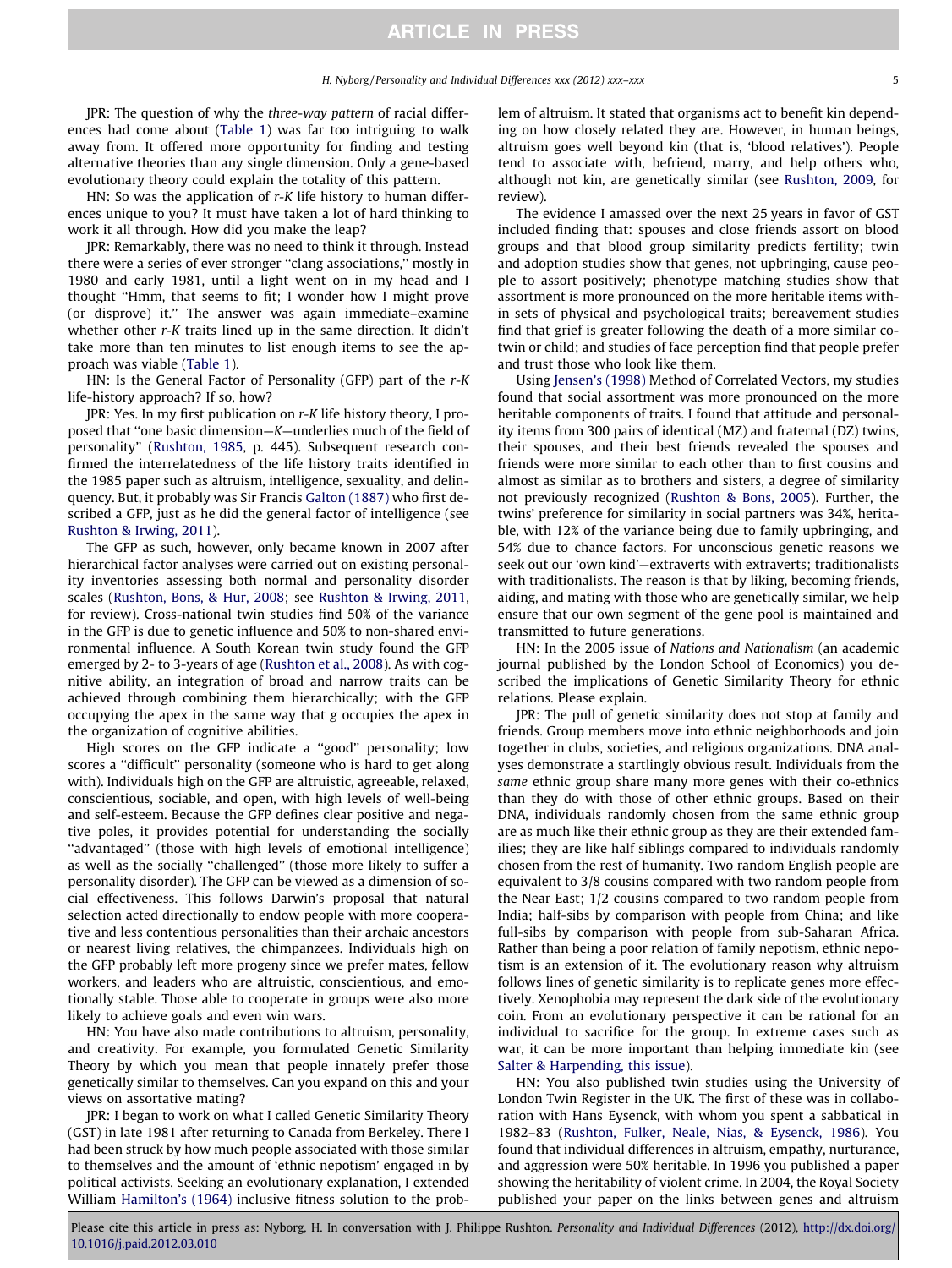JPR: The question of why the three-way pattern of racial differences had come about ([Table 1\)](#page-3-0) was far too intriguing to walk away from. It offered more opportunity for finding and testing alternative theories than any single dimension. Only a gene-based evolutionary theory could explain the totality of this pattern.

HN: So was the application of r-K life history to human differences unique to you? It must have taken a lot of hard thinking to work it all through. How did you make the leap?

JPR: Remarkably, there was no need to think it through. Instead there were a series of ever stronger ''clang associations,'' mostly in 1980 and early 1981, until a light went on in my head and I thought ''Hmm, that seems to fit; I wonder how I might prove (or disprove) it.'' The answer was again immediate–examine whether other r-K traits lined up in the same direction. It didn't take more than ten minutes to list enough items to see the approach was viable ([Table 1\)](#page-3-0).

HN: Is the General Factor of Personality (GFP) part of the r-K life-history approach? If so, how?

JPR: Yes. In my first publication on r-K life history theory, I proposed that ''one basic dimension—K—underlies much of the field of personality'' ([Rushton, 1985](#page-5-0), p. 445). Subsequent research confirmed the interrelatedness of the life history traits identified in the 1985 paper such as altruism, intelligence, sexuality, and delinquency. But, it probably was Sir Francis [Galton \(1887\)](#page-5-0) who first described a GFP, just as he did the general factor of intelligence (see [Rushton & Irwing, 2011\)](#page-5-0).

The GFP as such, however, only became known in 2007 after hierarchical factor analyses were carried out on existing personality inventories assessing both normal and personality disorder scales [\(Rushton, Bons, & Hur, 2008;](#page-5-0) see [Rushton & Irwing, 2011,](#page-5-0) for review). Cross-national twin studies find 50% of the variance in the GFP is due to genetic influence and 50% to non-shared environmental influence. A South Korean twin study found the GFP emerged by 2- to 3-years of age ([Rushton et al., 2008\)](#page-5-0). As with cognitive ability, an integration of broad and narrow traits can be achieved through combining them hierarchically; with the GFP occupying the apex in the same way that g occupies the apex in the organization of cognitive abilities.

High scores on the GFP indicate a ''good'' personality; low scores a ''difficult'' personality (someone who is hard to get along with). Individuals high on the GFP are altruistic, agreeable, relaxed, conscientious, sociable, and open, with high levels of well-being and self-esteem. Because the GFP defines clear positive and negative poles, it provides potential for understanding the socially ''advantaged'' (those with high levels of emotional intelligence) as well as the socially ''challenged'' (those more likely to suffer a personality disorder). The GFP can be viewed as a dimension of social effectiveness. This follows Darwin's proposal that natural selection acted directionally to endow people with more cooperative and less contentious personalities than their archaic ancestors or nearest living relatives, the chimpanzees. Individuals high on the GFP probably left more progeny since we prefer mates, fellow workers, and leaders who are altruistic, conscientious, and emotionally stable. Those able to cooperate in groups were also more likely to achieve goals and even win wars.

HN: You have also made contributions to altruism, personality, and creativity. For example, you formulated Genetic Similarity Theory by which you mean that people innately prefer those genetically similar to themselves. Can you expand on this and your views on assortative mating?

JPR: I began to work on what I called Genetic Similarity Theory (GST) in late 1981 after returning to Canada from Berkeley. There I had been struck by how much people associated with those similar to themselves and the amount of 'ethnic nepotism' engaged in by political activists. Seeking an evolutionary explanation, I extended William [Hamilton's \(1964\)](#page-5-0) inclusive fitness solution to the problem of altruism. It stated that organisms act to benefit kin depending on how closely related they are. However, in human beings, altruism goes well beyond kin (that is, 'blood relatives'). People tend to associate with, befriend, marry, and help others who, although not kin, are genetically similar (see [Rushton, 2009](#page-5-0), for review).

The evidence I amassed over the next 25 years in favor of GST included finding that: spouses and close friends assort on blood groups and that blood group similarity predicts fertility; twin and adoption studies show that genes, not upbringing, cause people to assort positively; phenotype matching studies show that assortment is more pronounced on the more heritable items within sets of physical and psychological traits; bereavement studies find that grief is greater following the death of a more similar cotwin or child; and studies of face perception find that people prefer and trust those who look like them.

Using [Jensen's \(1998\)](#page-5-0) Method of Correlated Vectors, my studies found that social assortment was more pronounced on the more heritable components of traits. I found that attitude and personality items from 300 pairs of identical (MZ) and fraternal (DZ) twins, their spouses, and their best friends revealed the spouses and friends were more similar to each other than to first cousins and almost as similar as to brothers and sisters, a degree of similarity not previously recognized ([Rushton & Bons, 2005\)](#page-5-0). Further, the twins' preference for similarity in social partners was 34%, heritable, with 12% of the variance being due to family upbringing, and 54% due to chance factors. For unconscious genetic reasons we seek out our 'own kind'—extraverts with extraverts; traditionalists with traditionalists. The reason is that by liking, becoming friends, aiding, and mating with those who are genetically similar, we help ensure that our own segment of the gene pool is maintained and transmitted to future generations.

HN: In the 2005 issue of Nations and Nationalism (an academic journal published by the London School of Economics) you described the implications of Genetic Similarity Theory for ethnic relations. Please explain.

JPR: The pull of genetic similarity does not stop at family and friends. Group members move into ethnic neighborhoods and join together in clubs, societies, and religious organizations. DNA analyses demonstrate a startlingly obvious result. Individuals from the same ethnic group share many more genes with their co-ethnics than they do with those of other ethnic groups. Based on their DNA, individuals randomly chosen from the same ethnic group are as much like their ethnic group as they are their extended families; they are like half siblings compared to individuals randomly chosen from the rest of humanity. Two random English people are equivalent to 3/8 cousins compared with two random people from the Near East; 1/2 cousins compared to two random people from India; half-sibs by comparison with people from China; and like full-sibs by comparison with people from sub-Saharan Africa. Rather than being a poor relation of family nepotism, ethnic nepotism is an extension of it. The evolutionary reason why altruism follows lines of genetic similarity is to replicate genes more effectively. Xenophobia may represent the dark side of the evolutionary coin. From an evolutionary perspective it can be rational for an individual to sacrifice for the group. In extreme cases such as war, it can be more important than helping immediate kin (see [Salter & Harpending, this issue\)](#page-6-0).

HN: You also published twin studies using the University of London Twin Register in the UK. The first of these was in collaboration with Hans Eysenck, with whom you spent a sabbatical in 1982–83 ([Rushton, Fulker, Neale, Nias, & Eysenck, 1986](#page-5-0)). You found that individual differences in altruism, empathy, nurturance, and aggression were 50% heritable. In 1996 you published a paper showing the heritability of violent crime. In 2004, the Royal Society published your paper on the links between genes and altruism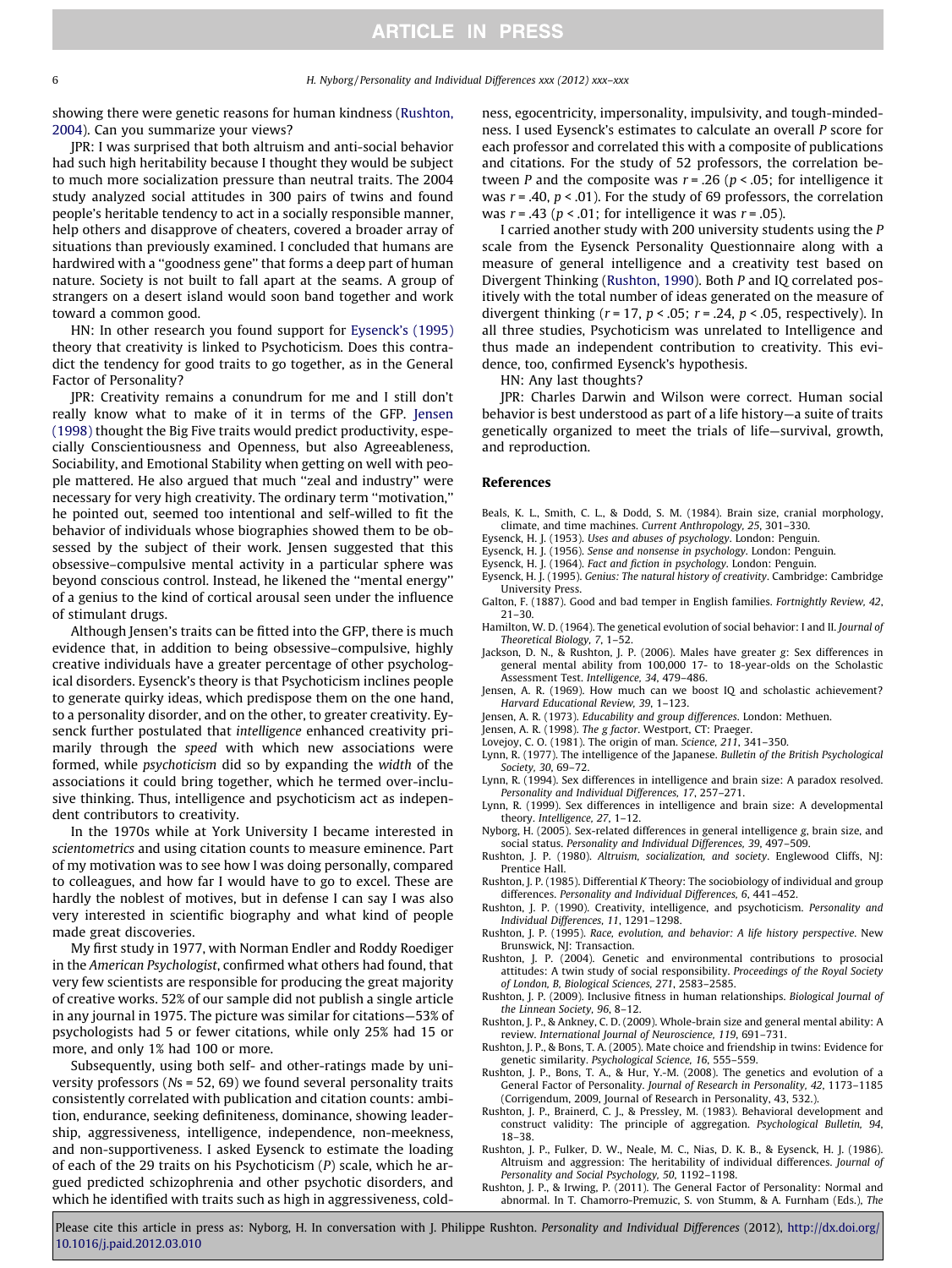#### <span id="page-5-0"></span>6 H. Nyborg / Personality and Individual Differences xxx (2012) xxx–xxx

showing there were genetic reasons for human kindness (Rushton, 2004). Can you summarize your views?

JPR: I was surprised that both altruism and anti-social behavior had such high heritability because I thought they would be subject to much more socialization pressure than neutral traits. The 2004 study analyzed social attitudes in 300 pairs of twins and found people's heritable tendency to act in a socially responsible manner, help others and disapprove of cheaters, covered a broader array of situations than previously examined. I concluded that humans are hardwired with a ''goodness gene'' that forms a deep part of human nature. Society is not built to fall apart at the seams. A group of strangers on a desert island would soon band together and work toward a common good.

HN: In other research you found support for Eysenck's (1995) theory that creativity is linked to Psychoticism. Does this contradict the tendency for good traits to go together, as in the General Factor of Personality?

JPR: Creativity remains a conundrum for me and I still don't really know what to make of it in terms of the GFP. Jensen (1998) thought the Big Five traits would predict productivity, especially Conscientiousness and Openness, but also Agreeableness, Sociability, and Emotional Stability when getting on well with people mattered. He also argued that much ''zeal and industry'' were necessary for very high creativity. The ordinary term ''motivation,'' he pointed out, seemed too intentional and self-willed to fit the behavior of individuals whose biographies showed them to be obsessed by the subject of their work. Jensen suggested that this obsessive–compulsive mental activity in a particular sphere was beyond conscious control. Instead, he likened the ''mental energy'' of a genius to the kind of cortical arousal seen under the influence of stimulant drugs.

Although Jensen's traits can be fitted into the GFP, there is much evidence that, in addition to being obsessive–compulsive, highly creative individuals have a greater percentage of other psychological disorders. Eysenck's theory is that Psychoticism inclines people to generate quirky ideas, which predispose them on the one hand, to a personality disorder, and on the other, to greater creativity. Eysenck further postulated that intelligence enhanced creativity primarily through the speed with which new associations were formed, while psychoticism did so by expanding the width of the associations it could bring together, which he termed over-inclusive thinking. Thus, intelligence and psychoticism act as independent contributors to creativity.

In the 1970s while at York University I became interested in scientometrics and using citation counts to measure eminence. Part of my motivation was to see how I was doing personally, compared to colleagues, and how far I would have to go to excel. These are hardly the noblest of motives, but in defense I can say I was also very interested in scientific biography and what kind of people made great discoveries.

My first study in 1977, with Norman Endler and Roddy Roediger in the American Psychologist, confirmed what others had found, that very few scientists are responsible for producing the great majority of creative works. 52% of our sample did not publish a single article in any journal in 1975. The picture was similar for citations—53% of psychologists had 5 or fewer citations, while only 25% had 15 or more, and only 1% had 100 or more.

Subsequently, using both self- and other-ratings made by university professors (Ns = 52, 69) we found several personality traits consistently correlated with publication and citation counts: ambition, endurance, seeking definiteness, dominance, showing leadership, aggressiveness, intelligence, independence, non-meekness, and non-supportiveness. I asked Eysenck to estimate the loading of each of the 29 traits on his Psychoticism (P) scale, which he argued predicted schizophrenia and other psychotic disorders, and which he identified with traits such as high in aggressiveness, coldness, egocentricity, impersonality, impulsivity, and tough-mindedness. I used Eysenck's estimates to calculate an overall P score for each professor and correlated this with a composite of publications and citations. For the study of 52 professors, the correlation between P and the composite was  $r = .26$  ( $p < .05$ ; for intelligence it was  $r = .40$ ,  $p < .01$ ). For the study of 69 professors, the correlation was  $r = .43$  ( $p < .01$ ; for intelligence it was  $r = .05$ ).

I carried another study with 200 university students using the P scale from the Eysenck Personality Questionnaire along with a measure of general intelligence and a creativity test based on Divergent Thinking (Rushton, 1990). Both P and IQ correlated positively with the total number of ideas generated on the measure of divergent thinking ( $r = 17$ ,  $p < .05$ ;  $r = .24$ ,  $p < .05$ , respectively). In all three studies, Psychoticism was unrelated to Intelligence and thus made an independent contribution to creativity. This evidence, too, confirmed Eysenck's hypothesis.

HN: Any last thoughts?

JPR: Charles Darwin and Wilson were correct. Human social behavior is best understood as part of a life history—a suite of traits genetically organized to meet the trials of life—survival, growth, and reproduction.

#### References

- Beals, K. L., Smith, C. L., & Dodd, S. M. (1984). Brain size, cranial morphology climate, and time machines. Current Anthropology, 25, 301–330.
- Eysenck, H. J. (1953). Uses and abuses of psychology. London: Penguin.
- Eysenck, H. J. (1956). Sense and nonsense in psychology. London: Penguin.
- Eysenck, H. J. (1964). Fact and fiction in psychology. London: Penguin.
- Eysenck, H. J. (1995). Genius: The natural history of creativity. Cambridge: Cambridge University Press.
- Galton, F. (1887). Good and bad temper in English families. Fortnightly Review, 42, 21–30.
- Hamilton, W. D. (1964). The genetical evolution of social behavior: I and II. Journal of Theoretical Biology, 7, 1–52.
- Jackson, D. N., & Rushton, J. P. (2006). Males have greater g: Sex differences in general mental ability from 100,000 17- to 18-year-olds on the Scholastic Assessment Test. Intelligence, 34, 479–486.
- Jensen, A. R. (1969). How much can we boost IQ and scholastic achievement? Harvard Educational Review, 39, 1–123.
- Jensen, A. R. (1973). Educability and group differences. London: Methuen.
- Jensen, A. R. (1998). The g factor. Westport, CT: Praeger
- Lovejoy, C. O. (1981). The origin of man. Science, 211, 341–350.
- Lynn, R. (1977). The intelligence of the Japanese. Bulletin of the British Psychological Society, 30, 69–72.
- Lynn, R. (1994). Sex differences in intelligence and brain size: A paradox resolved. Personality and Individual Differences, 17, 257–271.
- Lynn, R. (1999). Sex differences in intelligence and brain size: A developmental theory. Intelligence, 27, 1–12.
- Nyborg, H. (2005). Sex-related differences in general intelligence g, brain size, and social status. Personality and Individual Differences, 39, 497–509.
- Rushton, J. P. (1980). Altruism, socialization, and society. Englewood Cliffs, NJ: Prentice Hall.
- Rushton, J. P. (1985). Differential K Theory: The sociobiology of individual and group differences. Personality and Individual Differences, 6, 441–452.
- Rushton, J. P. (1990). Creativity, intelligence, and psychoticism. Personality and Individual Differences, 11, 1291–1298.
- Rushton, J. P. (1995). Race, evolution, and behavior: A life history perspective. New Brunswick, NJ: Transaction.
- Rushton, J. P. (2004). Genetic and environmental contributions to prosocial attitudes: A twin study of social responsibility. Proceedings of the Royal Society of London, B, Biological Sciences, 271, 2583–2585.
- Rushton, J. P. (2009). Inclusive fitness in human relationships. Biological Journal of the Linnean Society, 96, 8–12.
- Rushton, J. P., & Ankney, C. D. (2009). Whole-brain size and general mental ability: A review. International Journal of Neuroscience, 119, 691–731.
- Rushton, J. P., & Bons, T. A. (2005). Mate choice and friendship in twins: Evidence for genetic similarity. Psychological Science, 16, 555–559.
- Rushton, J. P., Bons, T. A., & Hur, Y.-M. (2008). The genetics and evolution of a General Factor of Personality. Journal of Research in Personality, 42, 1173–1185 (Corrigendum, 2009, Journal of Research in Personality, 43, 532.).
- Rushton, J. P., Brainerd, C. J., & Pressley, M. (1983). Behavioral development and construct validity: The principle of aggregation. Psychological Bulletin, 94, 18–38.
- Rushton, J. P., Fulker, D. W., Neale, M. C., Nias, D. K. B., & Eysenck, H. J. (1986). Altruism and aggression: The heritability of individual differences. Journal of Personality and Social Psychology, 50, 1192–1198.
- Rushton, J. P., & Irwing, P. (2011). The General Factor of Personality: Normal and abnormal. In T. Chamorro-Premuzic, S. von Stumm, & A. Furnham (Eds.), The